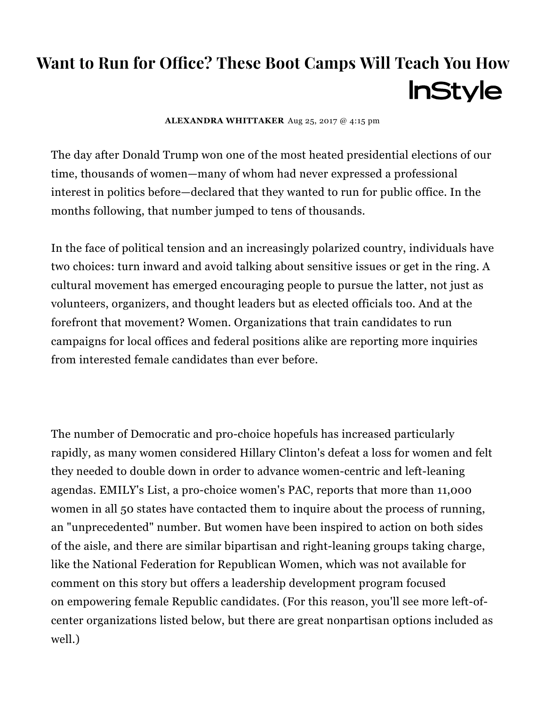# Want to Run for Office? These Boot Camps Will Teach You How **InStyle**

[ALEXANDRA](http://www.instyle.com/author/alexandra-whittaker) WHITTAKER Aug 25, 2017 @ 4:15 pm

The day after [Donald](http://www.instyle.com/celebrity/donald-trump) Trump won one of the most heated presidential elections of our time, thousands of women—many of whom had never expressed a professional interest in politics before—declared that they wanted to run for public office. In the months following, that number jumped to tens of thousands.

In the face of political tension and an increasingly polarized country, individuals have two choices: turn inward and avoid talking about sensitive issues or get in the ring. A cultural movement has emerged encouraging people to pursue the latter, not just as volunteers, organizers, and thought leaders but as elected officials too. And at the forefront that movement? Women. Organizations that train candidates to run campaigns for local offices and federal positions alike are reporting more inquiries from interested female candidates than ever before.

The number of Democratic and pro-choice hopefuls has increased particularly rapidly, as many women considered Hillary Clinton's defeat a loss for women and felt they needed to double down in order to advance women-centric and left-leaning agendas. EMILY's List, a [pro-choice](http://www.huffingtonpost.com/entry/donald-trumps-presidency-has-inspired-11000-women-to-run-for-office_us_58fd863ae4b06b9cb917d111) women's PAC, reports that more than 11,000 women in all 50 states have contacted them to inquire about the process of running, an "unprecedented" number. But women have been inspired to action on both sides of the aisle, and there are similar bipartisan and right-leaning groups taking charge, like the National Federation for [Republican](http://www.nfrw.org/) Women, which was not available for comment on this story but offers a leadership development program focused on empowering female Republic candidates. (For this reason, you'll see more left-ofcenter organizations listed below, but there are great nonpartisan options included as well.)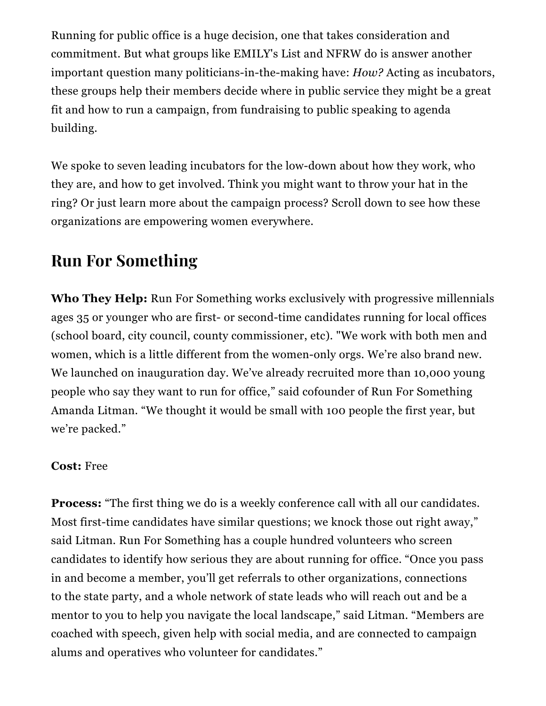Running for public office is a huge decision, one that takes consideration and commitment. But what groups like EMILY's List and NFRW do is answer another important question many politicians-in-the-making have: *How?* Acting as incubators, these groups help their members decide where in public service they might be a great fit and how to run a campaign, from fundraising to public speaking to agenda building.

We spoke to seven leading incubators for the low-down about how they work, who they are, and how to get involved. Think you might want to throw your hat in the ring? Or just learn more about the campaign process? Scroll down to see how these organizations are empowering women everywhere.

# Run For Something

Who They Help: Run For Something works exclusively with progressive millennials ages 35 or younger who are first- or second-time candidates running for local offices (school board, city council, county commissioner, etc). "We work with both men and women, which is a little different from the women-only orgs. We're also brand new. We launched on inauguration day. We've already recruited more than 10,000 young people who say they want to run for office," said cofounder of Run For Something Amanda Litman. "We thought it would be small with 100 people the first year, but we're packed."

#### Cost: Free

**Process:** "The first thing we do is a weekly conference call with all our candidates. Most first-time candidates have similar questions; we knock those out right away," said Litman. Run For Something has a couple hundred volunteers who screen candidates to identify how serious they are about running for office. "Once you pass in and become a member, you'll get referrals to other organizations, connections to the state party, and a whole network of state leads who will reach out and be a mentor to you to help you navigate the local landscape," said Litman. "Members are coached with speech, given help with social media, and are connected to campaign alums and operatives who volunteer for candidates."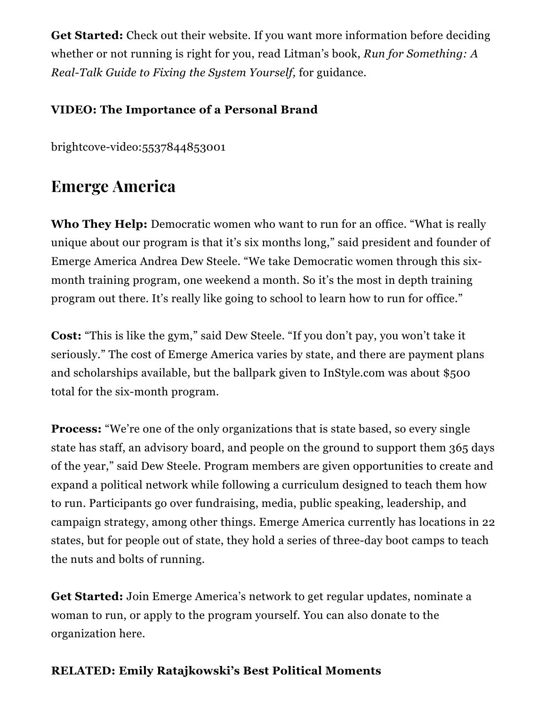Get Started: Check out their [website.](http://runforsomething.net/) If you want more information before deciding whether or not running is right for you, read Litman's book, *Run for [Something:](https://www.amazon.com/Run-Something-Real-Talk-Fixing-Yourself/dp/1501180444/ref=sr_1_1%3Fie=UTF8%26qid=1502418297%26sr=8-1%26keywords=Run+for+Something%3A+A+Real-Talk+Guide+to+Fixing+the+System+Yourself) A Real-Talk Guide to Fixing the System Yourself,* for guidance.

### VIDEO: The Importance of a Personal Brand

[brightcove-video:5537844853001](https://editor.instyle.com/file/brightcove-video5537844853001)

## Emerge America

Who They Help: Democratic women who want to run for an office. "What is really unique about our program is that it's six months long," said president and founder of Emerge America Andrea Dew Steele. "We take Democratic women through this sixmonth training program, one weekend a month. So it's the most in depth training program out there. It's really like going to school to learn how to run for office."

Cost: "This is like the gym," said Dew Steele. "If you don't pay, you won't take it seriously." The cost of Emerge America varies by state, and there are payment plans and scholarships available, but the ballpark given to InStyle.com was about \$500 total for the six-month program.

Process: "We're one of the only organizations that is state based, so every single state has staff, an advisory board, and people on the ground to support them 365 days of the year," said Dew Steele. Program members are given opportunities to create and expand a political network while following a curriculum designed to teach them how to run. Participants go over fundraising, media, public speaking, leadership, and campaign strategy, among other things. Emerge America currently has locations in 22 states, but for people out of state, they hold a series of three-day boot camps to teach the nuts and bolts of running.

Get Started: Join Emerge [America's](http://www.emergeamerica.org/action) network to get regular updates, nominate a woman to run, or apply to the [program](http://www.emergeamerica.org/action) yourself. You can also donate to the organization [here.](https://emerge.ngpvanhost.com/contribute)

### RELATED: Emily [Ratajkowski's](http://www.instyle.com/celebrity/emily-ratajkowskis-best-political-moments) Best Political Moments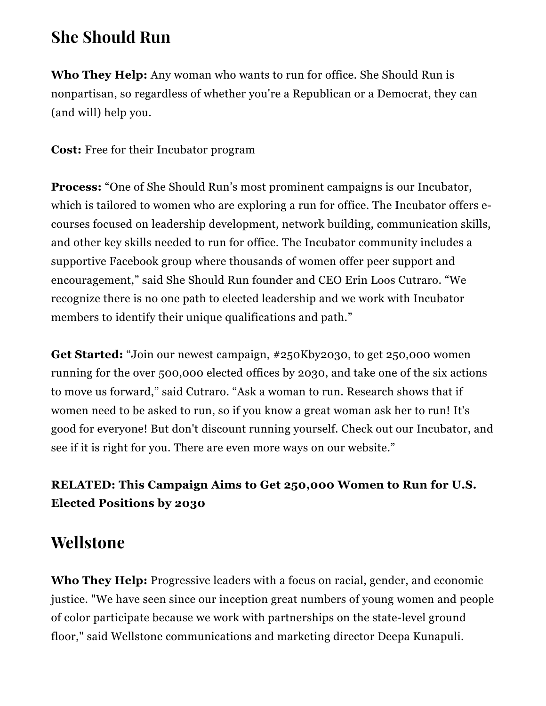### She Should Run

Who They Help: Any woman who wants to run for office. She Should Run is nonpartisan, so regardless of whether you're a Republican or a Democrat, they can (and will) help you.

Cost: Free for their Incubator program

Process: "One of She Should Run's most prominent campaigns is our Incubator, which is tailored to women who are exploring a run for office. The Incubator offers ecourses focused on leadership development, network building, communication skills, and other key skills needed to run for office. The Incubator community includes a supportive Facebook group where thousands of women offer peer support and encouragement," said She Should Run founder and CEO Erin Loos Cutraro. "We recognize there is no one path to elected leadership and we work with Incubator members to identify their unique qualifications and path."

Get Started: "Join our newest campaign, [#250Kby2030](http://www.sheshouldrun.org/take-action)[,](http://www.instyle.com/news/campaign-2030-women-half-elected-positions) to get 250,000 women running for the over 500,000 elected offices by 2030, and take one of the six actions to move us forward," said Cutraro. "Ask a [woman](http://www.sheshouldrun.org/ask_a_woman_to_run_for_office) to run. Research shows that if women need to be asked to run, so if you know a great woman ask her to run! It's good for everyone! But don't discount running yourself. Check out our [Incubator,](http://sheshouldrun.org/incubator) and see if it is right for you. There are even more ways on our website."

### [RELATED:](http://www.instyle.com/news/campaign-2030-women-half-elected-positions) This Campaign Aims to Get 250,000 Women to Run for U.S. Elected Positions by 2030

### Wellstone

Who They Help: Progressive leaders with a focus on racial, gender, and economic justice. "We have seen since our inception great numbers of young women and people of color participate because we work with partnerships on the state-level ground floor," said Wellstone communications and marketing director Deepa Kunapuli.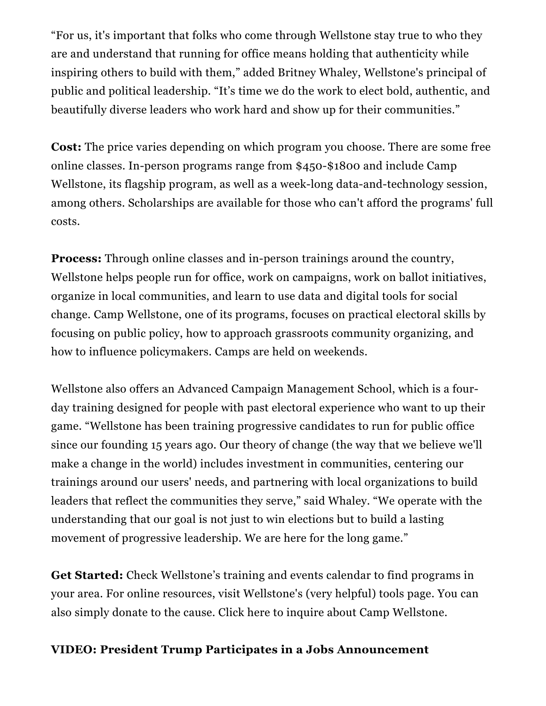"For us, it's important that folks who come through Wellstone stay true to who they are and understand that running for office means holding that authenticity while inspiring others to build with them," added Britney Whaley, Wellstone's principal of public and political leadership. "It's time we do the work to elect bold, authentic, and beautifully diverse leaders who work hard and show up for their communities."

Cost: The price varies depending on which program you choose. There are some free online classes. In-person programs range from \$450-\$1800 and include Camp Wellstone, its flagship program, as well as a week-long data-and-technology session, among others. Scholarships are available for those who can't afford the programs' full costs.

**Process:** Through online classes and in-person trainings around the country, Wellstone helps people run for office, work on campaigns, work on ballot initiatives, organize in local communities, and learn to use data and digital tools for social change. Camp [Wellstone,](http://www.wellstone.org/focus-areas/camp-wellstone) one of its programs, focuses on practical electoral skills by focusing on public policy, how to approach grassroots community organizing, and how to influence policymakers. Camps are held on weekends.

Wellstone also offers an Advanced Campaign Management School, which is a fourday training designed for people with past electoral experience who want to up their game. "Wellstone has been training progressive candidates to run for public office since our founding 15 years ago. Our theory of change (the way that we believe we'll make a change in the world) includes investment in communities, centering our trainings around our users' needs, and partnering with local organizations to build leaders that reflect the communities they serve," said Whaley. "We operate with the understanding that our goal is not just to win elections but to build a lasting movement of progressive leadership. We are here for the long game."

Get Started: Check Wellstone's [training](http://www.wellstone.org/events) and events calendar to find programs in your area. For online resources, visit Wellstone's (very helpful) [tools](http://www.wellstone.org/resources) page. You can also simply [donate](https://engage.wellstone.org/pages/donatec4) to the cause. Click [here](http://www.wellstone.org/contact?category=cw) to inquire about Camp Wellstone.

#### VIDEO: President Trump Participates in a Jobs Announcement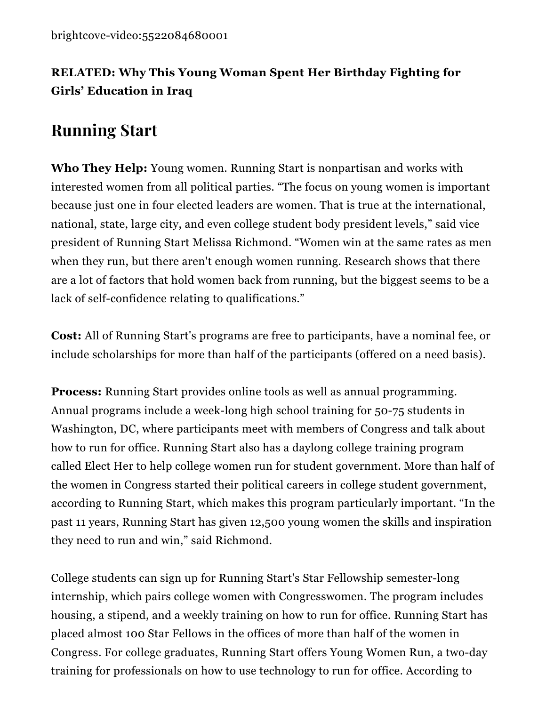### [RELATED:](http://www.instyle.com/news/malala-yousafzai-girl-power-trip) Why This Young Woman Spent Her Birthday Fighting for Girls' Education in Iraq

# Running Start

Who They Help: Young women. Running Start is nonpartisan and works with interested women from all political parties. "The focus on young women is important because just one in four elected leaders are women. That is true at the international, national, state, large city, and even college student body president levels," said vice president of Running Start Melissa Richmond. "Women win at the same rates as men when they run, but there aren't enough women running. Research shows that there are a lot of factors that hold women back from running, but the biggest seems to be a lack of self-confidence relating to qualifications."

Cost: All of Running Start's programs are free to participants, have a nominal fee, or include scholarships for more than half of the participants (offered on a need basis).

**Process:** Running Start provides online tools as well as annual programming. Annual programs include a week-long high school training for 50-75 students in Washington, DC, where participants meet with members of Congress and talk about how to run for office. Running Start also has a daylong college training program called Elect Her to help college women run for student government. More than half of the women in Congress started their political careers in college student government, according to Running Start, which makes this program particularly important. "In the past 11 years, Running Start has given 12,500 young women the skills and inspiration they need to run and win," said Richmond.

College students can sign up for Running Start's Star Fellowship semester-long internship, which pairs college women with Congresswomen. The program includes housing, a stipend, and a weekly training on how to run for office. Running Start has placed almost 100 Star Fellows in the offices of more than half of the women in Congress. For college graduates, Running Start offers Young Women Run, a two-day training for professionals on how to use technology to run for office. According to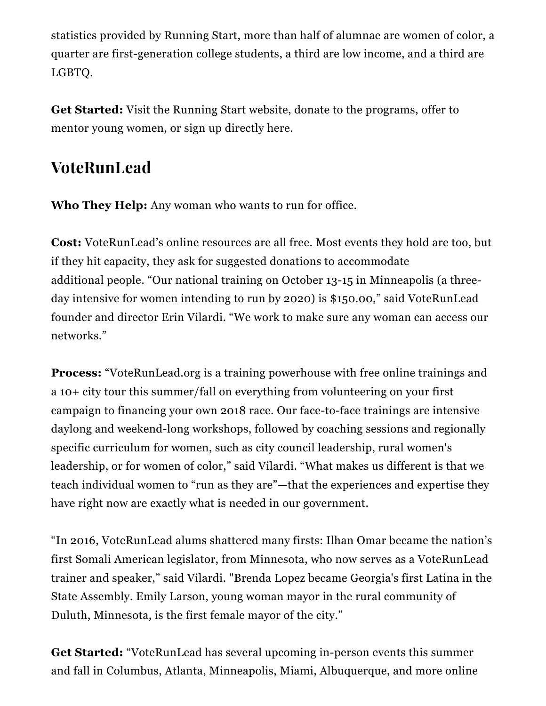statistics provided by Running Start, more than half of alumnae are women of color, a quarter are first-generation college students, a third are low income, and a third are LGBTQ.

Get Started: Visit the [Running](http://runningstartonline.org/) Start website, [donate](https://secure.runningstartonline.org/page/contribute/onetimedonation) to the [programs,](http://runningstartonline.org/programs/mentorship) offer to mentor young women, or sign up directly [here](http://runningstartonline.org/about-us/membership).

# VoteRunLead

Who They Help: Any woman who wants to run for office.

Cost: VoteRunLead's online resources are all free. Most events they hold are too, but if they hit capacity, they ask for suggested donations to accommodate additional people. "Our national training on October 13-15 in Minneapolis (a threeday intensive for women intending to run by 2020) is \$150.00," said VoteRunLead founder and director Erin Vilardi. "We work to make sure any woman can access our networks."

Process: "[VoteRunLead.org](http://www.voterunlead.org/) is a training powerhouse with free online trainings and a 10+ city tour this summer/fall on everything from volunteering on your first campaign to financing your own 2018 race. Our face-to-face trainings are intensive daylong and weekend-long workshops, followed by coaching sessions and regionally specific curriculum for women, such as city council leadership, rural women's leadership, or for women of color," said Vilardi. "What makes us different is that we teach individual women to "run as they are"—that the experiences and expertise they have right now are exactly what is needed in our government.

"In 2016, VoteRunLead alums shattered many firsts: Ilhan Omar became the nation's first Somali American legislator, from Minnesota, who now serves as a VoteRunLead trainer and speaker," said Vilardi. "Brenda Lopez became Georgia's first Latina in the State Assembly. Emily Larson, young woman mayor in the rural community of Duluth, Minnesota, is the first female mayor of the city."

Get Started: "VoteRunLead has several upcoming in-person events this summer and fall in Columbus, Atlanta, Minneapolis, Miami, Albuquerque, and more online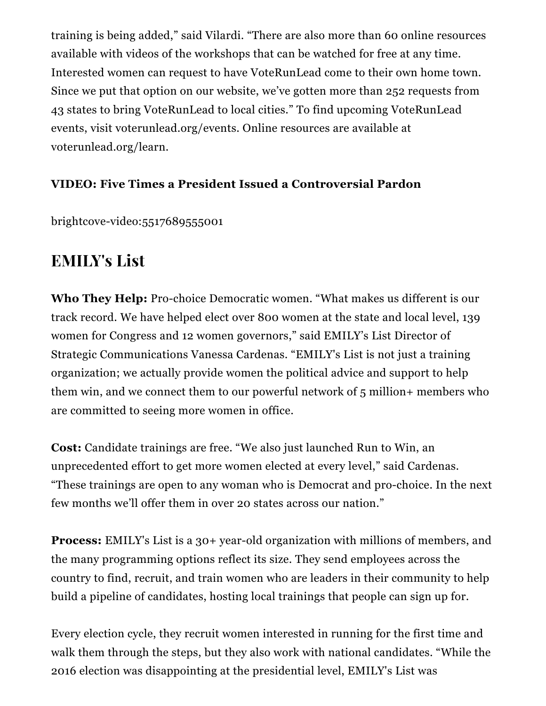training is being added," said Vilardi. "There are also more than 60 online resources available with videos of the workshops that can be watched for free at any time. Interested women can request to have VoteRunLead come to their own home town. Since we put that option on our website, we've gotten more than 252 requests from 43 states to bring VoteRunLead to local cities." To find upcoming VoteRunLead events, visit [voterunlead.org/events](http://www.voterunlead.org/events). Online resources are available at [voterunlead.org/learn.](http://www.voterunlead.org/learn)

### VIDEO: Five Times a President Issued a Controversial Pardon

[brightcove-video:5517689555001](https://editor.instyle.com/file/brightcove-video5517689555001)

# EMILY's List

Who They Help: Pro-choice Democratic women. "What makes us different is our track record. We have helped elect over 800 women at the state and local level, 139 women for Congress and 12 women governors," said EMILY's List Director of Strategic Communications Vanessa Cardenas. "EMILY's List is not just a training organization; we actually provide women the political advice and support to help them win, and we connect them to our powerful network of 5 million+ members who are committed to seeing more women in office.

Cost: Candidate trainings are free. "We also just launched Run to [Win,](http://www.emilyslist.org/run-to-win) an unprecedented effort to get more women elected at every level," said Cardenas. "These trainings are open to any woman who is Democrat and pro-choice. In the next few months we'll offer them in over 20 states across our nation."

Process: EMILY's List is a 30+ year-old organization with millions of members, and the many programming options reflect its size. They send employees across the country to find, recruit, and train women who are leaders in their community to help build a pipeline of candidates, hosting local trainings that people can [sign](http://action.emilyslist.org/page/s/sign-future-trainings) up for.

Every election cycle, they recruit women [interested](http://action.emilyslist.org/page/s/sign-future-trainings) in running for the first time and walk them through the steps, but they also work with national candidates. "While the 2016 election was disappointing at the presidential level, EMILY's List was